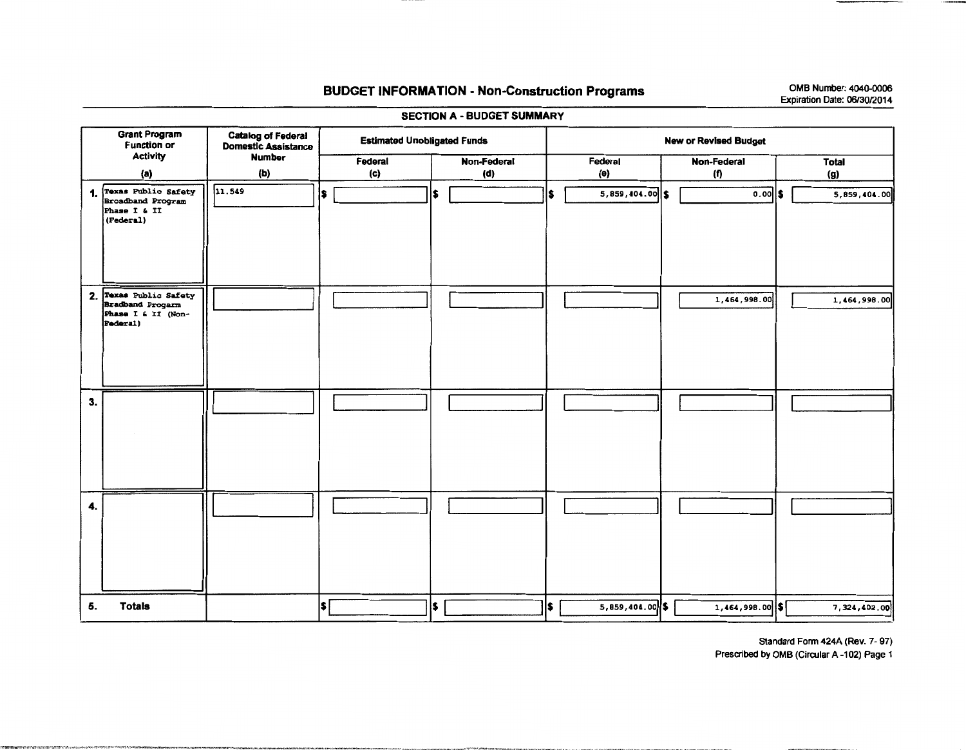## **BUDGET INFORMATION - Non-Construction Programs**

OMB Number: 4040-0006 Expiration Date: 06/30/2014

**Grant Program** Catalog of Federal **Estimated Unobligated Funds New or Revised Budget Function or Domestic Assistance Activity Number** Federal Non-Federal Federal Non-Federal **Total**  $(b)$  $(a)$ (c)  $(d)$ (e) (f) (g) 1. Texas Public Safety<br>Broadband Program  $11.549$ 5,859,404.00  $\overline{0.00}$  \$ l\$. ls. 5,859,404.00 is. l\$. Phase I & II  $(\text{Federa1})$ 2. Texas Public Safety 1,464,998.00 1,464,998.00 **Bradband Progarm** Phase I & II (Non-Federal)  $3.$ 4. ls. ls [  $5,859,404.00$  \$  $1,464,998.00$  \$ 5. **Totals** ls. 7,324,402.00

**SECTION A - BUDGET SUMMARY** 

---------

Standard Form 424A (Rev. 7-97)

Prescribed by OMB (Circular A-102) Page 1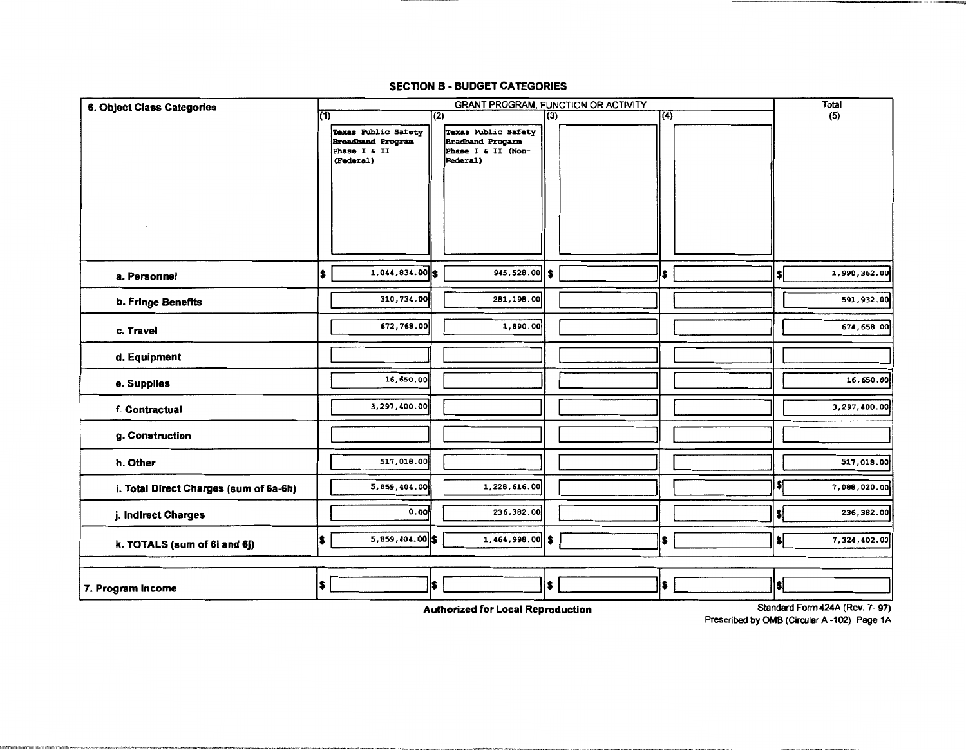## **SECTION B - BUDGET CATEGORIES**

| 6. Object Class Categories                                                 |     | <b>GRANT PROGRAM, FUNCTION OR ACTIVITY</b>                                   |     |                                                                           |     |  |                  |  |                          | <b>Total</b> |
|----------------------------------------------------------------------------|-----|------------------------------------------------------------------------------|-----|---------------------------------------------------------------------------|-----|--|------------------|--|--------------------------|--------------|
|                                                                            | (1) |                                                                              | (2) |                                                                           | (3) |  | $\overline{(4)}$ |  |                          | (5)          |
|                                                                            |     | Texas Public Safety<br><b>Broadband Program</b><br>Phase I & II<br>(Federal) |     | Texas Public Safety<br>Bradband Progarm<br>Phase I & II (Non-<br>Federal) |     |  |                  |  |                          |              |
| a. Personnel                                                               | l\$ | $1,044,834.00$ \$                                                            |     | $945,528.00$ \$                                                           |     |  | \$               |  | \$                       | 1,990,362.00 |
| <b>b. Fringe Benefits</b>                                                  |     | 310, 734.00                                                                  |     | 281,198.00                                                                |     |  |                  |  |                          | 591,932.00   |
| c. Travel                                                                  |     | 672,768.00                                                                   |     | 1,890.00                                                                  |     |  |                  |  |                          | 674, 658.00  |
| d. Equipment                                                               |     |                                                                              |     |                                                                           |     |  |                  |  |                          |              |
| e. Supplies                                                                |     | 16,650.00                                                                    |     |                                                                           |     |  |                  |  |                          | 16,650.00    |
| f. Contractual                                                             |     | 3,297,400.00                                                                 |     |                                                                           |     |  |                  |  |                          | 3,297,400.00 |
| g. Construction                                                            |     |                                                                              |     |                                                                           |     |  |                  |  |                          |              |
| h. Other                                                                   |     | 517,018.00                                                                   |     |                                                                           |     |  |                  |  |                          | 517,018.00   |
| i. Total Direct Charges (sum of 6a-6h)                                     |     | 5,859,404.00                                                                 |     | 1,228,616.00                                                              |     |  |                  |  | \$[                      | 7,088,020.00 |
| j. Indirect Charges                                                        |     | 0.00                                                                         |     | 236,382.00                                                                |     |  |                  |  | \$İ                      | 236,382.00   |
| k. TOTALS (sum of 6i and 6j)                                               | \$  | $5,859,404.00$ \$                                                            |     | $1,464,998.00$ \$                                                         |     |  | l\$              |  | $\bullet$                | 7,324,402.00 |
|                                                                            |     |                                                                              |     |                                                                           |     |  |                  |  |                          |              |
| 7. Program Income                                                          | l\$ |                                                                              | l\$ |                                                                           | is. |  | l\$.             |  | $\left  \bullet \right $ |              |
| Standard Form 424A (Rev. 7-97)<br><b>Authorized for Local Reproduction</b> |     |                                                                              |     |                                                                           |     |  |                  |  |                          |              |

Prescribed by OMB (Circular A-102) Page 1A